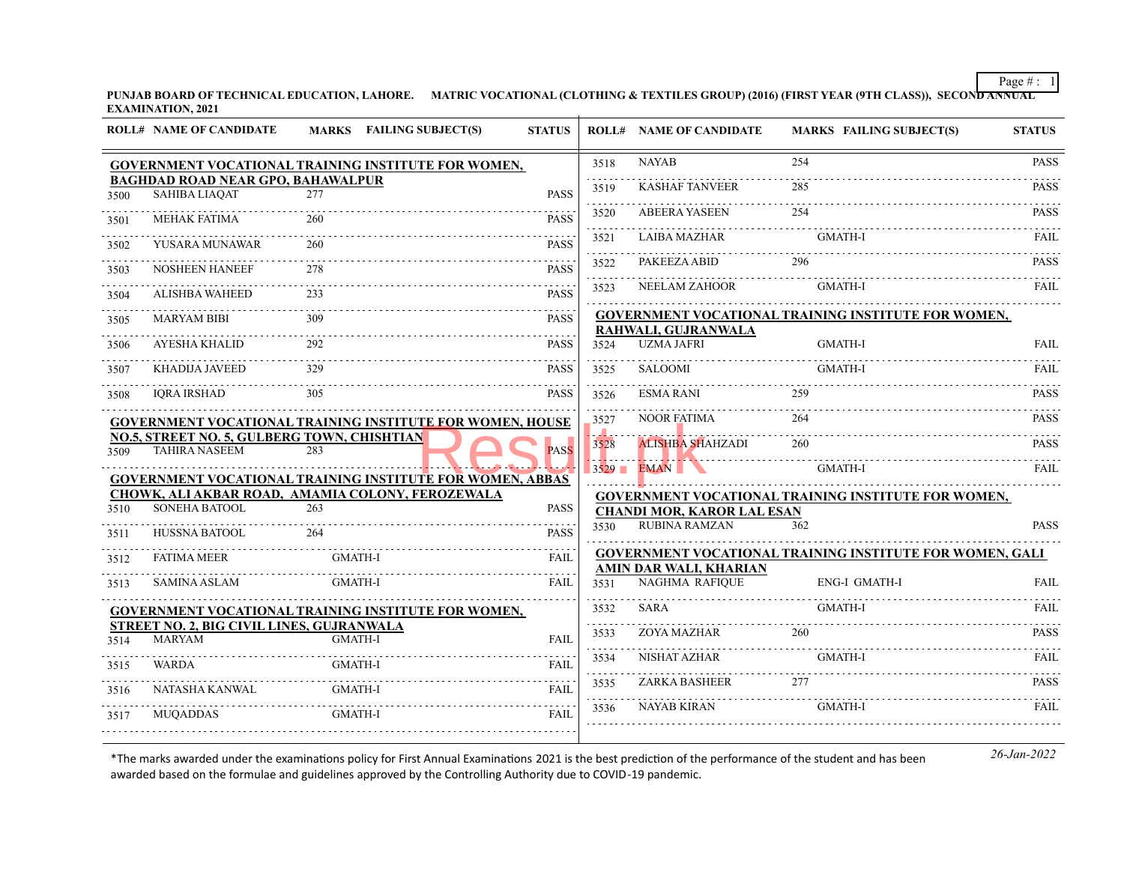Page  $\# : \ 1$ 

**PUNJAB BOARD OF TECHNICAL EDUCATION, LAHORE. MATRIC VOCATIONAL (CLOTHING & TEXTILES GROUP) (2016) (FIRST YEAR (9TH CLASS)), SECOND ANNUAL EXAMINATION, 2021**

|                     | <b>ROLL# NAME OF CANDIDATE</b>                                      | MARKS FAILING SUBJECT(S)                                                                                             | <b>STATUS</b> |                  | <b>ROLL# NAME OF CANDIDATE</b>           | <b>MARKS FAILING SUBJECT(S)</b>                                 | <b>STATUS</b> |
|---------------------|---------------------------------------------------------------------|----------------------------------------------------------------------------------------------------------------------|---------------|------------------|------------------------------------------|-----------------------------------------------------------------|---------------|
|                     |                                                                     | GOVERNMENT VOCATIONAL TRAINING INSTITUTE FOR WOMEN,                                                                  |               | 3518             | <b>NAYAB</b>                             | 254                                                             | <b>PASS</b>   |
| 3500                | <b>BAGHDAD ROAD NEAR GPO, BAHAWALPUR</b><br><b>SAHIBA LIAQAT</b>    | 2.77                                                                                                                 | <b>PASS</b>   | .<br>3519        | <b>KASHAF TANVEER</b>                    | 285                                                             | <b>PASS</b>   |
| 3501                | <b>MEHAK FATIMA</b>                                                 | 260                                                                                                                  | <b>PASS</b>   | 3520             | <b>ABEERA YASEEN</b>                     | 254                                                             | <b>PASS</b>   |
| 3502                | YUSARA MUNAWAR                                                      | 260                                                                                                                  | <b>PASS</b>   | in an an<br>3521 | <b>LAIBA MAZHAR</b>                      | <b>GMATH-I</b>                                                  | FAIL          |
| 3503                | <b>NOSHEEN HANEEF</b>                                               | 278                                                                                                                  | <b>PASS</b>   | .<br>3522        | PAKEEZA ABID                             | 296                                                             | <b>PASS</b>   |
| 3504                | <b>ALISHBA WAHEED</b>                                               | 233                                                                                                                  | <b>PASS</b>   | المتحدث<br>3523  | NEELAM ZAHOOR                            | <b>GMATH-I</b>                                                  | FAIL          |
| $- - - - -$<br>3505 | <b>MARYAM BIBI</b>                                                  | 309                                                                                                                  | <b>PASS</b>   |                  |                                          | GOVERNMENT VOCATIONAL TRAINING INSTITUTE FOR WOMEN,             |               |
| 3506                | AYESHA KHALID                                                       | 292                                                                                                                  | <b>PASS</b>   | 3524             | RAHWALI, GUJRANWALA<br><b>UZMA JAFRI</b> | <b>GMATH-I</b>                                                  | <b>FAIL</b>   |
| 3507                | KHADIJA JAVEED                                                      | 329                                                                                                                  | PASS          | 3525             | SALOOMI                                  | <b>GMATH-I</b>                                                  | FAIL          |
| 3508                | <b>IORA IRSHAD</b>                                                  | 305                                                                                                                  | <b>PASS</b>   | 3526             | <b>ESMA RANI</b>                         | 259                                                             | <b>PASS</b>   |
|                     |                                                                     | <b>GOVERNMENT VOCATIONAL TRAINING INSTITUTE FOR WOMEN, HOUSE</b>                                                     |               | 3527             | <b>NOOR FATIMA</b>                       | 264                                                             | <b>PASS</b>   |
| 3509                | NO.5, STREET NO. 5, GULBERG TOWN, CHISHTIAN<br><b>TAHIRA NASEEM</b> | 283                                                                                                                  | <b>PASS</b>   | . 4.<br>3528     | <b>ALISHBA SHAHZADI</b>                  | 260                                                             | <b>PASS</b>   |
|                     |                                                                     |                                                                                                                      |               |                  | $3529$ EMAN                              | GMATH-I                                                         | FAIL          |
|                     |                                                                     | <b>GOVERNMENT VOCATIONAL TRAINING INSTITUTE FOR WOMEN, ABBAS</b><br>CHOWK, ALI AKBAR ROAD, AMAMIA COLONY, FEROZEWALA |               |                  |                                          | GOVERNMENT VOCATIONAL TRAINING INSTITUTE FOR WOMEN,             |               |
| 3510                | SONEHA BATOOL                                                       | 263                                                                                                                  | <b>PASS</b>   |                  | <b>CHANDI MOR, KAROR LAL ESAN</b>        |                                                                 |               |
| 3511                | HUSSNA BATOOL                                                       | 264                                                                                                                  | <b>PASS</b>   | 3530             | <b>RUBINA RAMZAN</b>                     | 362                                                             | <b>PASS</b>   |
| 3512                | <b>FATIMA MEER</b>                                                  | <b>GMATH-I</b>                                                                                                       | <b>FAIL</b>   |                  |                                          | <b>GOVERNMENT VOCATIONAL TRAINING INSTITUTE FOR WOMEN, GALI</b> |               |
|                     | <b>SAMINA ASLAM</b>                                                 | <b>GMATH-I</b>                                                                                                       | <b>FAIL</b>   |                  | AMIN DAR WALI, KHARIAN<br>NAGHMA RAFIQUE | <b>ENG-I GMATH-I</b>                                            | <b>FAIL</b>   |
| 3513                |                                                                     |                                                                                                                      |               | 3531             |                                          |                                                                 |               |
|                     |                                                                     | GOVERNMENT VOCATIONAL TRAINING INSTITUTE FOR WOMEN,                                                                  |               | 3532             | <b>SARA</b>                              | <b>GMATH-I</b>                                                  | <b>FAIL</b>   |
| 3514                | STREET NO. 2, BIG CIVIL LINES, GUJRANWALA<br><b>MARYAM</b>          | <b>GMATH-I</b>                                                                                                       | <b>FAIL</b>   | .<br>3533        | ZOYA MAZHAR                              | 260                                                             | <b>PASS</b>   |
| 3515                | WARDA                                                               | <b>GMATH-I</b>                                                                                                       | <b>FAIL</b>   | .<br>3534        | NISHAT AZHAR                             | <b>GMATH-I</b>                                                  | <b>FAIL</b>   |
| 3516                | NATASHA KANWAL                                                      | <b>GMATH-I</b>                                                                                                       | FAIL          | .<br>3535        | ZARKA BASHEER                            | 277                                                             | <b>PASS</b>   |
| 3517                | <b>MUQADDAS</b>                                                     | <b>GMATH-I</b>                                                                                                       | FAIL          | .<br>3536        | <b>NAYAB KIRAN</b>                       | <b>GMATH-I</b>                                                  | <b>FAIL</b>   |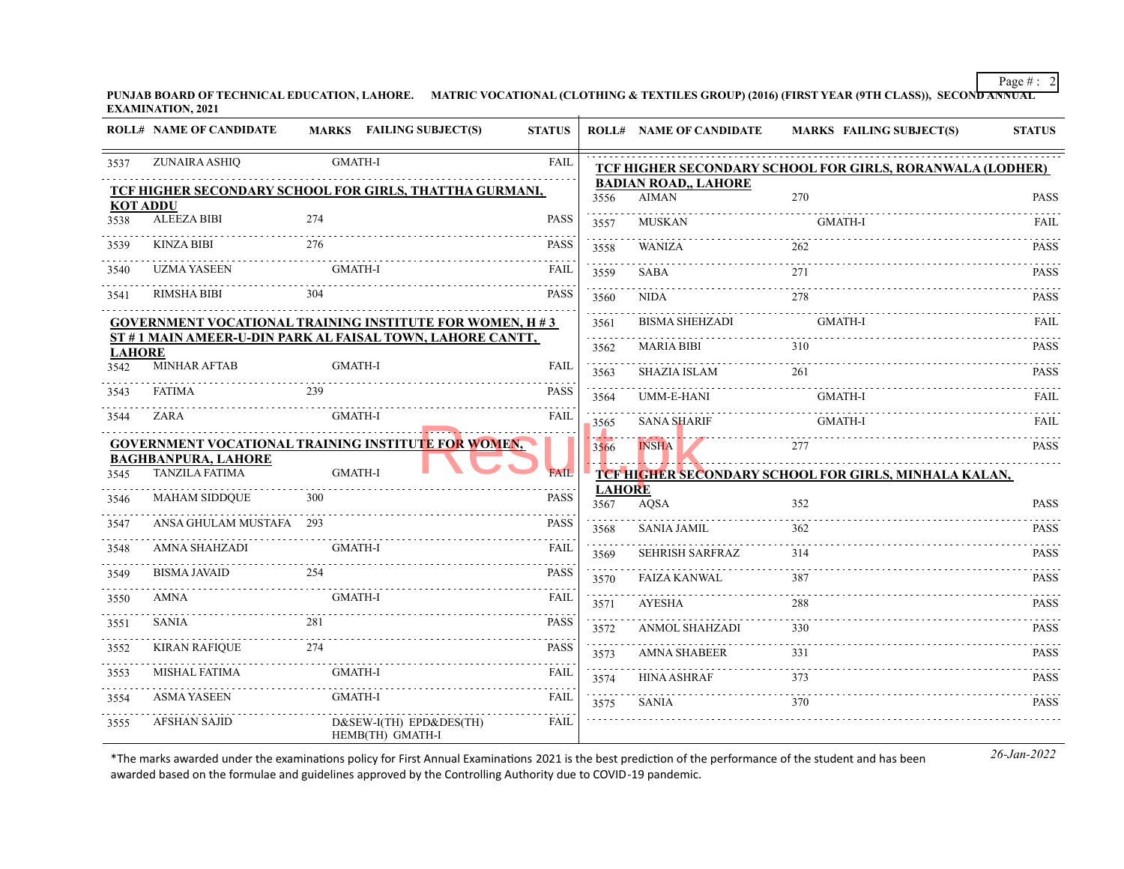Page # : 2

**PUNJAB BOARD OF TECHNICAL EDUCATION, LAHORE. MATRIC VOCATIONAL (CLOTHING & TEXTILES GROUP) (2016) (FIRST YEAR (9TH CLASS)), SECOND ANNUAL EXAMINATION, 2021**

|                 | <b>ROLL# NAME OF CANDIDATE</b>                      | MARKS FAILING SUBJECT(S)                                        | <b>STATUS</b> |                       | <b>ROLL# NAME OF CANDIDATE</b>       | <b>MARKS FAILING SUBJECT(S)</b>                           | <b>STATUS</b>    |
|-----------------|-----------------------------------------------------|-----------------------------------------------------------------|---------------|-----------------------|--------------------------------------|-----------------------------------------------------------|------------------|
| 3537            | ZUNAIRA ASHIQ                                       | <b>GMATH-I</b>                                                  | <b>FAIL</b>   |                       |                                      | TCF HIGHER SECONDARY SCHOOL FOR GIRLS, RORANWALA (LODHER) |                  |
| <b>KOT ADDU</b> |                                                     | TCF HIGHER SECONDARY SCHOOL FOR GIRLS, THATTHA GURMANI,         |               | 3556                  | <b>BADIAN ROAD,, LAHORE</b><br>AIMAN | 270                                                       | <b>PASS</b>      |
| 3538            | <b>ALEEZA BIBI</b>                                  | 274                                                             | <b>PASS</b>   | 3557                  | <b>MUSKAN</b>                        | <b>GMATH-I</b>                                            | FAIL             |
| 3539            | KINZA BIBI                                          | 276                                                             | <b>PASS</b>   | 3558                  | <b>WANIZA</b>                        | 262                                                       | <b>PASS</b>      |
| 3540            | <b>UZMA YASEEN</b>                                  | <b>GMATH-I</b>                                                  | <b>FAIL</b>   | 3559                  | <b>SABA</b>                          | 271                                                       | <b>PASS</b>      |
| 3541            | <b>RIMSHA BIBI</b>                                  | 304                                                             | <b>PASS</b>   | 3560                  | NIDA                                 | 278                                                       | <b>PASS</b>      |
|                 |                                                     | <b>GOVERNMENT VOCATIONAL TRAINING INSTITUTE FOR WOMEN, H #3</b> |               | 3561                  | <b>BISMA SHEHZADI</b>                | <b>GMATH-I</b>                                            | <b>FAIL</b>      |
| <b>LAHORE</b>   |                                                     | ST #1 MAIN AMEER-U-DIN PARK AL FAISAL TOWN, LAHORE CANTT,       |               | .<br>3562             | <b>MARIA BIBI</b>                    | 310                                                       | <b>PASS</b>      |
| 3542            | <b>MINHAR AFTAB</b>                                 | <b>GMATH-I</b>                                                  | <b>FAIL</b>   | 3563                  | <b>SHAZIA ISLAM</b>                  | 261                                                       | <b>PASS</b>      |
| 3543            | FATIMA                                              | 239                                                             | <b>PASS</b>   | 3564                  | UMM-E-HANI                           | <b>GMATH-I</b>                                            | <b>FAIL</b>      |
| 3544            | ZARA                                                | GMATH-I                                                         | <b>FAIL</b>   | is siste<br>3565      | <b>SANA SHARIF</b>                   | <b>GMATH-I</b>                                            | FAIL             |
|                 |                                                     | GOVERNMENT VOCATIONAL TRAINING INSTITUTE FOR WOMEN,             |               | 3566                  | <b>INSHA</b>                         | 277                                                       | <b>PASS</b>      |
| 3545            | <b>BAGHBANPURA, LAHORE</b><br><b>TANZILA FATIMA</b> | <b>GMATH-I</b>                                                  | <b>FAIL</b>   |                       |                                      | TCF HIGHER SECONDARY SCHOOL FOR GIRLS, MINHALA KALAN,     |                  |
| 3546            | <b>MAHAM SIDDQUE</b>                                | 300                                                             | <b>PASS</b>   | <b>LAHORE</b><br>3567 | AOSA                                 | 352                                                       | PASS             |
| 3547            | ANSA GHULAM MUSTAFA 293                             |                                                                 | <b>PASS</b>   | 3568                  | .<br>SANIA JAMIL                     | 362                                                       | <b>PASS</b>      |
| 3548            | AMNA SHAHZADI                                       | <b>GMATH-I</b>                                                  | <b>FAIL</b>   | 3569                  | <b>SEHRISH SARFRAZ</b>               | 314                                                       | .<br><b>PASS</b> |
| 3549            | <b>BISMA JAVAID</b>                                 | 254                                                             | <b>PASS</b>   | 3570                  | <b>FAIZA KANWAL</b>                  | 387                                                       | <b>PASS</b>      |
| 3550            | AMNA                                                | <b>GMATH-I</b>                                                  | <b>FAIL</b>   | 3571                  | <b>AYESHA</b>                        | 288                                                       | <b>PASS</b>      |
| 3551            | <b>SANIA</b>                                        | 281                                                             | <b>PASS</b>   | 3572                  | <b>ANMOL SHAHZADI</b>                | 330                                                       | <b>PASS</b>      |
| 3552            | <b>KIRAN RAFIQUE</b><br>.                           | 274                                                             | <b>PASS</b>   | 3573                  | <b>AMNA SHABEER</b>                  | 331                                                       | <b>PASS</b>      |
| 3553            | MISHAL FATIMA                                       | <b>GMATH-I</b>                                                  | <b>FAIL</b>   | 3574                  | <b>HINA ASHRAF</b>                   | 373                                                       | <b>PASS</b>      |
| 3554            | <b>ASMA YASEEN</b>                                  | <b>GMATH-I</b>                                                  | .<br>FAIL     | 3575                  | SANIA                                | 370                                                       | <b>PASS</b>      |
| 3555            | <b>AFSHAN SAJID</b>                                 | D&SEW-I(TH) EPD&DES(TH)<br>HEMB(TH) GMATH-I                     | FAIL          |                       |                                      |                                                           |                  |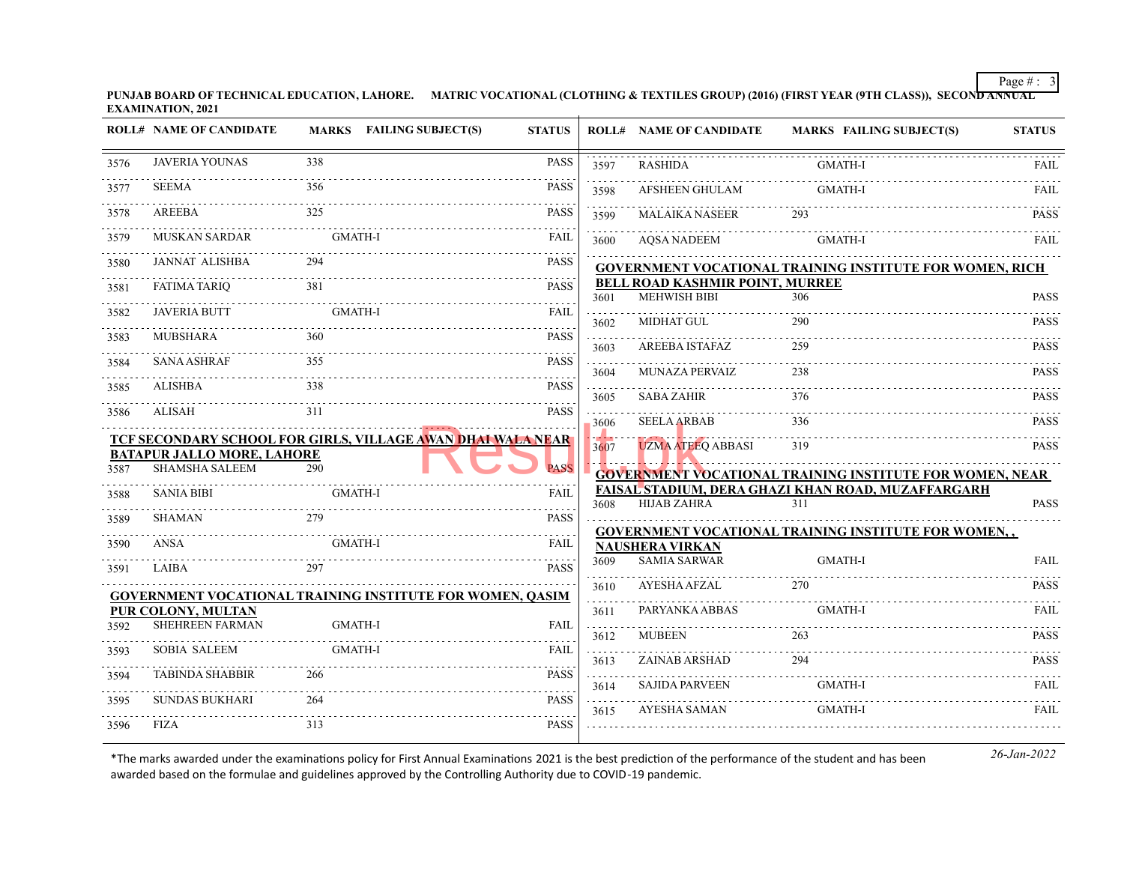Page  $\# : 3$ 

**PUNJAB BOARD OF TECHNICAL EDUCATION, LAHORE. MATRIC VOCATIONAL (CLOTHING & TEXTILES GROUP) (2016) (FIRST YEAR (9TH CLASS)), SECOND ANNUAL EXAMINATION, 2021**

| PASS<br>338<br><b>JAVERIA YOUNAS</b><br>3576<br><b>GMATH-I</b><br><b>RASHIDA</b><br>3597<br><b>SEEMA</b><br>356<br><b>PASS</b><br>3577<br><b>GMATH-I</b><br>AFSHEEN GHULAM<br>3598<br>$\omega$ is a set<br>325<br><b>PASS</b><br>AREEBA<br>3578<br><b>MALAIKA NASEER</b><br>293<br>3599<br><b>GMATH-I</b><br><b>MUSKAN SARDAR</b><br><b>FAIL</b><br>3579<br>GMATH-I<br>AQSA NADEEM<br>3600<br><b>JANNAT ALISHBA</b><br><b>PASS</b><br>3580<br><b>GOVERNMENT VOCATIONAL TRAINING INSTITUTE FOR WOMEN, RICH</b><br><b>BELL ROAD KASHMIR POINT, MURREE</b><br><b>FATIMA TARIQ</b><br>381<br><b>PASS</b><br>3581<br><b>MEHWISH BIBI</b><br>306<br>3601<br><b>JAVERIA BUTT</b><br><b>GMATH-I</b><br><b>FAIL</b><br>3582<br>MIDHAT GUL<br>290<br>3602<br><b>MUBSHARA</b><br>360<br><b>PASS</b><br>3583<br>AREEBA ISTAFAZ<br>259<br>3603<br><b>SANA ASHRAF</b><br><b>PASS</b><br>355<br>3584<br><b>MUNAZA PERVAIZ</b><br>238<br>3604<br><b>ALISHBA</b><br>338<br><b>PASS</b><br>3585<br><b>SABA ZAHIR</b><br>376<br>3605<br>311<br><b>PASS</b><br>ALISAH<br>3586<br><b>SEELA ARBAB</b><br>336<br>3606<br>.<br>TCF SECONDARY SCHOOL FOR GIRLS, VILLAGE A <mark>WAN DHAI WALA NEAR</mark><br><b>UZMA ATEEQ ABBASI</b><br>319<br>3607<br><b>BATAPUR JALLO MORE, LAHORE</b><br><b>SHAMSHA SALEEM</b><br>290<br><b>PASS</b><br>3587<br>GOVERNMENT VOCATIONAL TRAINING INSTITUTE FOR WOMEN, NEAR<br>FAISAL STADIUM, DERA GHAZI KHAN ROAD, MUZAFFARGARH<br><b>SANIA BIBI</b><br><b>GMATH-I</b><br><b>FAII</b><br>3588<br><b>HIJAB ZAHRA</b><br>311<br>3608<br><b>SHAMAN</b><br>279<br><b>PASS</b><br>3589<br><b>GOVERNMENT VOCATIONAL TRAINING INSTITUTE FOR WOMEN,,</b><br>ANSA<br><b>GMATH-I</b><br><b>FAIL</b><br>3590<br><b>NAUSHERA VIRKAN</b><br><b>SAMIA SARWAR</b><br>3609<br><b>GMATH-I</b><br><b>PASS</b><br>LAIBA<br>297<br>3591<br>.<br><b>AYESHA AFZAL</b><br>270<br>3610<br><b>GOVERNMENT VOCATIONAL TRAINING INSTITUTE FOR WOMEN, QASIM</b><br>$\sim$<br>PARYANKA ABBAS<br><b>GMATH-I</b><br>PUR COLONY, MULTAN<br>3611<br>SHEHREEN FARMAN<br><b>GMATH-I</b><br><b>FAIL</b><br>3592<br>.<br><b>MUBEEN</b><br>263<br>3612<br><b>SOBIA SALEEM</b><br><b>GMATH-I</b><br><b>FAIL</b><br>3593<br>.<br>ZAINAB ARSHAD<br>294<br>3613<br><b>TABINDA SHABBIR</b><br>266<br><b>PASS</b><br>3594<br>.<br><b>SAJIDA PARVEEN</b><br><b>GMATH-I</b><br>3614<br><b>SUNDAS BUKHARI</b><br><b>PASS</b><br>264<br>3595<br>.<br><b>GMATH-I</b><br><b>AYESHA SAMAN</b><br>3615<br>313<br>FIZA<br><b>PASS</b><br>3596 | <b>ROLL# NAME OF CANDIDATE</b> | MARKS FAILING SUBJECT(S)<br><b>STATUS</b> |  | <b>ROLL# NAME OF CANDIDATE</b> | <b>MARKS FAILING SUBJECT(S)</b> | <b>STATUS</b> |
|---------------------------------------------------------------------------------------------------------------------------------------------------------------------------------------------------------------------------------------------------------------------------------------------------------------------------------------------------------------------------------------------------------------------------------------------------------------------------------------------------------------------------------------------------------------------------------------------------------------------------------------------------------------------------------------------------------------------------------------------------------------------------------------------------------------------------------------------------------------------------------------------------------------------------------------------------------------------------------------------------------------------------------------------------------------------------------------------------------------------------------------------------------------------------------------------------------------------------------------------------------------------------------------------------------------------------------------------------------------------------------------------------------------------------------------------------------------------------------------------------------------------------------------------------------------------------------------------------------------------------------------------------------------------------------------------------------------------------------------------------------------------------------------------------------------------------------------------------------------------------------------------------------------------------------------------------------------------------------------------------------------------------------------------------------------------------------------------------------------------------------------------------------------------------------------------------------------------------------------------------------------------------------------------------------------------------------------------------------------------------------------------------------------------------------------------------------------------------------------------------|--------------------------------|-------------------------------------------|--|--------------------------------|---------------------------------|---------------|
|                                                                                                                                                                                                                                                                                                                                                                                                                                                                                                                                                                                                                                                                                                                                                                                                                                                                                                                                                                                                                                                                                                                                                                                                                                                                                                                                                                                                                                                                                                                                                                                                                                                                                                                                                                                                                                                                                                                                                                                                                                                                                                                                                                                                                                                                                                                                                                                                                                                                                                   |                                |                                           |  |                                |                                 | FAIL          |
|                                                                                                                                                                                                                                                                                                                                                                                                                                                                                                                                                                                                                                                                                                                                                                                                                                                                                                                                                                                                                                                                                                                                                                                                                                                                                                                                                                                                                                                                                                                                                                                                                                                                                                                                                                                                                                                                                                                                                                                                                                                                                                                                                                                                                                                                                                                                                                                                                                                                                                   |                                |                                           |  |                                |                                 | <b>FAIL</b>   |
|                                                                                                                                                                                                                                                                                                                                                                                                                                                                                                                                                                                                                                                                                                                                                                                                                                                                                                                                                                                                                                                                                                                                                                                                                                                                                                                                                                                                                                                                                                                                                                                                                                                                                                                                                                                                                                                                                                                                                                                                                                                                                                                                                                                                                                                                                                                                                                                                                                                                                                   |                                |                                           |  |                                |                                 | <b>PASS</b>   |
|                                                                                                                                                                                                                                                                                                                                                                                                                                                                                                                                                                                                                                                                                                                                                                                                                                                                                                                                                                                                                                                                                                                                                                                                                                                                                                                                                                                                                                                                                                                                                                                                                                                                                                                                                                                                                                                                                                                                                                                                                                                                                                                                                                                                                                                                                                                                                                                                                                                                                                   |                                |                                           |  |                                |                                 | <b>FAIL</b>   |
|                                                                                                                                                                                                                                                                                                                                                                                                                                                                                                                                                                                                                                                                                                                                                                                                                                                                                                                                                                                                                                                                                                                                                                                                                                                                                                                                                                                                                                                                                                                                                                                                                                                                                                                                                                                                                                                                                                                                                                                                                                                                                                                                                                                                                                                                                                                                                                                                                                                                                                   |                                |                                           |  |                                |                                 |               |
|                                                                                                                                                                                                                                                                                                                                                                                                                                                                                                                                                                                                                                                                                                                                                                                                                                                                                                                                                                                                                                                                                                                                                                                                                                                                                                                                                                                                                                                                                                                                                                                                                                                                                                                                                                                                                                                                                                                                                                                                                                                                                                                                                                                                                                                                                                                                                                                                                                                                                                   |                                |                                           |  |                                |                                 |               |
|                                                                                                                                                                                                                                                                                                                                                                                                                                                                                                                                                                                                                                                                                                                                                                                                                                                                                                                                                                                                                                                                                                                                                                                                                                                                                                                                                                                                                                                                                                                                                                                                                                                                                                                                                                                                                                                                                                                                                                                                                                                                                                                                                                                                                                                                                                                                                                                                                                                                                                   |                                |                                           |  |                                |                                 | <b>PASS</b>   |
|                                                                                                                                                                                                                                                                                                                                                                                                                                                                                                                                                                                                                                                                                                                                                                                                                                                                                                                                                                                                                                                                                                                                                                                                                                                                                                                                                                                                                                                                                                                                                                                                                                                                                                                                                                                                                                                                                                                                                                                                                                                                                                                                                                                                                                                                                                                                                                                                                                                                                                   |                                |                                           |  |                                |                                 | <b>PASS</b>   |
|                                                                                                                                                                                                                                                                                                                                                                                                                                                                                                                                                                                                                                                                                                                                                                                                                                                                                                                                                                                                                                                                                                                                                                                                                                                                                                                                                                                                                                                                                                                                                                                                                                                                                                                                                                                                                                                                                                                                                                                                                                                                                                                                                                                                                                                                                                                                                                                                                                                                                                   |                                |                                           |  |                                |                                 | <b>PASS</b>   |
|                                                                                                                                                                                                                                                                                                                                                                                                                                                                                                                                                                                                                                                                                                                                                                                                                                                                                                                                                                                                                                                                                                                                                                                                                                                                                                                                                                                                                                                                                                                                                                                                                                                                                                                                                                                                                                                                                                                                                                                                                                                                                                                                                                                                                                                                                                                                                                                                                                                                                                   |                                |                                           |  |                                |                                 |               |
|                                                                                                                                                                                                                                                                                                                                                                                                                                                                                                                                                                                                                                                                                                                                                                                                                                                                                                                                                                                                                                                                                                                                                                                                                                                                                                                                                                                                                                                                                                                                                                                                                                                                                                                                                                                                                                                                                                                                                                                                                                                                                                                                                                                                                                                                                                                                                                                                                                                                                                   |                                |                                           |  |                                |                                 | <b>PASS</b>   |
|                                                                                                                                                                                                                                                                                                                                                                                                                                                                                                                                                                                                                                                                                                                                                                                                                                                                                                                                                                                                                                                                                                                                                                                                                                                                                                                                                                                                                                                                                                                                                                                                                                                                                                                                                                                                                                                                                                                                                                                                                                                                                                                                                                                                                                                                                                                                                                                                                                                                                                   |                                |                                           |  |                                |                                 | <b>PASS</b>   |
|                                                                                                                                                                                                                                                                                                                                                                                                                                                                                                                                                                                                                                                                                                                                                                                                                                                                                                                                                                                                                                                                                                                                                                                                                                                                                                                                                                                                                                                                                                                                                                                                                                                                                                                                                                                                                                                                                                                                                                                                                                                                                                                                                                                                                                                                                                                                                                                                                                                                                                   |                                |                                           |  |                                |                                 | <b>PASS</b>   |
|                                                                                                                                                                                                                                                                                                                                                                                                                                                                                                                                                                                                                                                                                                                                                                                                                                                                                                                                                                                                                                                                                                                                                                                                                                                                                                                                                                                                                                                                                                                                                                                                                                                                                                                                                                                                                                                                                                                                                                                                                                                                                                                                                                                                                                                                                                                                                                                                                                                                                                   |                                |                                           |  |                                |                                 |               |
|                                                                                                                                                                                                                                                                                                                                                                                                                                                                                                                                                                                                                                                                                                                                                                                                                                                                                                                                                                                                                                                                                                                                                                                                                                                                                                                                                                                                                                                                                                                                                                                                                                                                                                                                                                                                                                                                                                                                                                                                                                                                                                                                                                                                                                                                                                                                                                                                                                                                                                   |                                |                                           |  |                                |                                 | <b>PASS</b>   |
|                                                                                                                                                                                                                                                                                                                                                                                                                                                                                                                                                                                                                                                                                                                                                                                                                                                                                                                                                                                                                                                                                                                                                                                                                                                                                                                                                                                                                                                                                                                                                                                                                                                                                                                                                                                                                                                                                                                                                                                                                                                                                                                                                                                                                                                                                                                                                                                                                                                                                                   |                                |                                           |  |                                |                                 |               |
|                                                                                                                                                                                                                                                                                                                                                                                                                                                                                                                                                                                                                                                                                                                                                                                                                                                                                                                                                                                                                                                                                                                                                                                                                                                                                                                                                                                                                                                                                                                                                                                                                                                                                                                                                                                                                                                                                                                                                                                                                                                                                                                                                                                                                                                                                                                                                                                                                                                                                                   |                                |                                           |  |                                |                                 |               |
|                                                                                                                                                                                                                                                                                                                                                                                                                                                                                                                                                                                                                                                                                                                                                                                                                                                                                                                                                                                                                                                                                                                                                                                                                                                                                                                                                                                                                                                                                                                                                                                                                                                                                                                                                                                                                                                                                                                                                                                                                                                                                                                                                                                                                                                                                                                                                                                                                                                                                                   |                                |                                           |  |                                |                                 | <b>PASS</b>   |
|                                                                                                                                                                                                                                                                                                                                                                                                                                                                                                                                                                                                                                                                                                                                                                                                                                                                                                                                                                                                                                                                                                                                                                                                                                                                                                                                                                                                                                                                                                                                                                                                                                                                                                                                                                                                                                                                                                                                                                                                                                                                                                                                                                                                                                                                                                                                                                                                                                                                                                   |                                |                                           |  |                                |                                 |               |
|                                                                                                                                                                                                                                                                                                                                                                                                                                                                                                                                                                                                                                                                                                                                                                                                                                                                                                                                                                                                                                                                                                                                                                                                                                                                                                                                                                                                                                                                                                                                                                                                                                                                                                                                                                                                                                                                                                                                                                                                                                                                                                                                                                                                                                                                                                                                                                                                                                                                                                   |                                |                                           |  |                                |                                 |               |
|                                                                                                                                                                                                                                                                                                                                                                                                                                                                                                                                                                                                                                                                                                                                                                                                                                                                                                                                                                                                                                                                                                                                                                                                                                                                                                                                                                                                                                                                                                                                                                                                                                                                                                                                                                                                                                                                                                                                                                                                                                                                                                                                                                                                                                                                                                                                                                                                                                                                                                   |                                |                                           |  |                                |                                 | <b>FAIL</b>   |
|                                                                                                                                                                                                                                                                                                                                                                                                                                                                                                                                                                                                                                                                                                                                                                                                                                                                                                                                                                                                                                                                                                                                                                                                                                                                                                                                                                                                                                                                                                                                                                                                                                                                                                                                                                                                                                                                                                                                                                                                                                                                                                                                                                                                                                                                                                                                                                                                                                                                                                   |                                |                                           |  |                                |                                 | <b>PASS</b>   |
|                                                                                                                                                                                                                                                                                                                                                                                                                                                                                                                                                                                                                                                                                                                                                                                                                                                                                                                                                                                                                                                                                                                                                                                                                                                                                                                                                                                                                                                                                                                                                                                                                                                                                                                                                                                                                                                                                                                                                                                                                                                                                                                                                                                                                                                                                                                                                                                                                                                                                                   |                                |                                           |  |                                |                                 | FAIL          |
|                                                                                                                                                                                                                                                                                                                                                                                                                                                                                                                                                                                                                                                                                                                                                                                                                                                                                                                                                                                                                                                                                                                                                                                                                                                                                                                                                                                                                                                                                                                                                                                                                                                                                                                                                                                                                                                                                                                                                                                                                                                                                                                                                                                                                                                                                                                                                                                                                                                                                                   |                                |                                           |  |                                |                                 |               |
|                                                                                                                                                                                                                                                                                                                                                                                                                                                                                                                                                                                                                                                                                                                                                                                                                                                                                                                                                                                                                                                                                                                                                                                                                                                                                                                                                                                                                                                                                                                                                                                                                                                                                                                                                                                                                                                                                                                                                                                                                                                                                                                                                                                                                                                                                                                                                                                                                                                                                                   |                                |                                           |  |                                |                                 | <b>PASS</b>   |
|                                                                                                                                                                                                                                                                                                                                                                                                                                                                                                                                                                                                                                                                                                                                                                                                                                                                                                                                                                                                                                                                                                                                                                                                                                                                                                                                                                                                                                                                                                                                                                                                                                                                                                                                                                                                                                                                                                                                                                                                                                                                                                                                                                                                                                                                                                                                                                                                                                                                                                   |                                |                                           |  |                                |                                 | <b>PASS</b>   |
|                                                                                                                                                                                                                                                                                                                                                                                                                                                                                                                                                                                                                                                                                                                                                                                                                                                                                                                                                                                                                                                                                                                                                                                                                                                                                                                                                                                                                                                                                                                                                                                                                                                                                                                                                                                                                                                                                                                                                                                                                                                                                                                                                                                                                                                                                                                                                                                                                                                                                                   |                                |                                           |  |                                |                                 | FAIL          |
|                                                                                                                                                                                                                                                                                                                                                                                                                                                                                                                                                                                                                                                                                                                                                                                                                                                                                                                                                                                                                                                                                                                                                                                                                                                                                                                                                                                                                                                                                                                                                                                                                                                                                                                                                                                                                                                                                                                                                                                                                                                                                                                                                                                                                                                                                                                                                                                                                                                                                                   |                                |                                           |  |                                |                                 | <b>FAIL</b>   |
|                                                                                                                                                                                                                                                                                                                                                                                                                                                                                                                                                                                                                                                                                                                                                                                                                                                                                                                                                                                                                                                                                                                                                                                                                                                                                                                                                                                                                                                                                                                                                                                                                                                                                                                                                                                                                                                                                                                                                                                                                                                                                                                                                                                                                                                                                                                                                                                                                                                                                                   |                                |                                           |  |                                |                                 |               |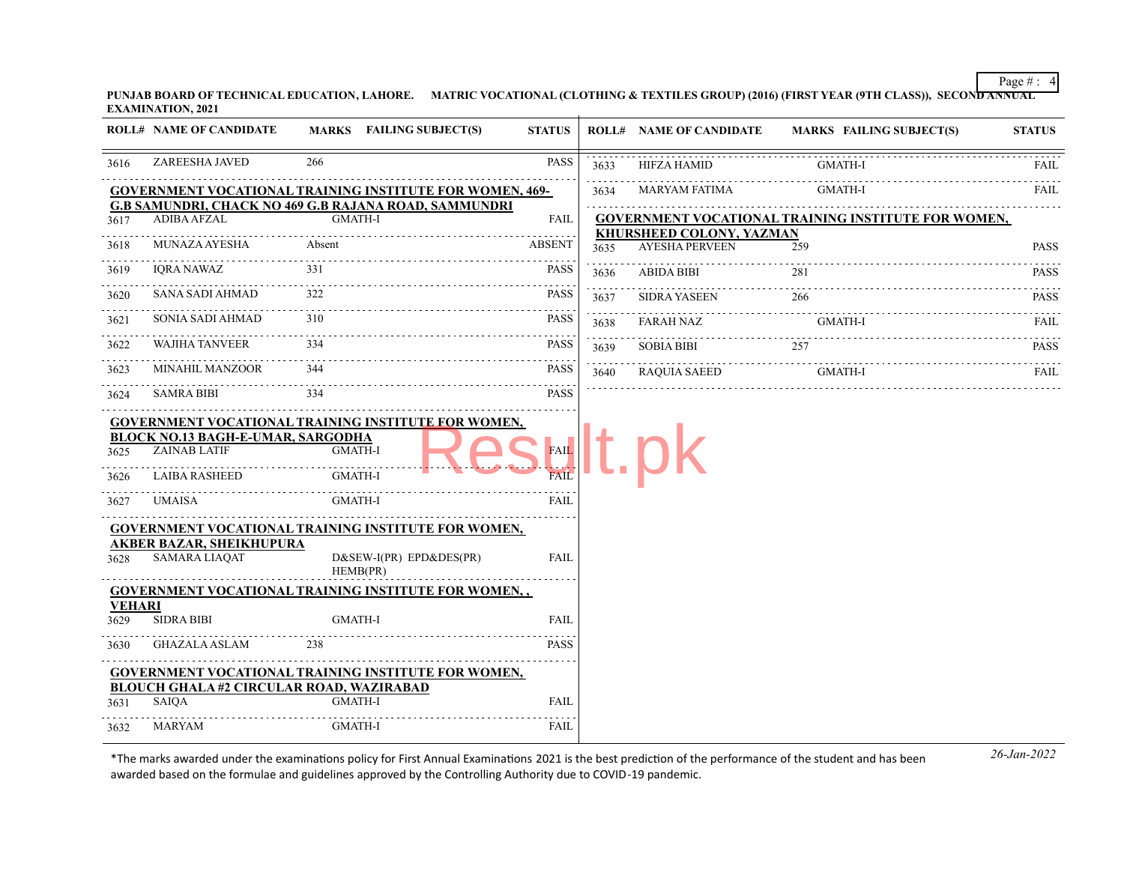Page # : 4

**PUNJAB BOARD OF TECHNICAL EDUCATION, LAHORE. MATRIC VOCATIONAL (CLOTHING & TEXTILES GROUP) (2016) (FIRST YEAR (9TH CLASS)), SECOND ANNUAL EXAMINATION, 2021**

|                       | <b>ROLL# NAME OF CANDIDATE</b>                                                                    |                                             | <b>MARKS</b> FAILING SUBJECT(S)                                 | <b>STATUS</b>                      |      | <b>ROLL# NAME OF CANDIDATE</b>                    | <b>MARKS FAILING SUBJECT(S)</b>                            | <b>STATUS</b>    |
|-----------------------|---------------------------------------------------------------------------------------------------|---------------------------------------------|-----------------------------------------------------------------|------------------------------------|------|---------------------------------------------------|------------------------------------------------------------|------------------|
| 3616                  | ZAREESHA JAVED                                                                                    | 266                                         |                                                                 | <b>PASS</b>                        | 3633 | <b>HIFZA HAMID</b>                                | GMATH-I                                                    | <b>FAIL</b>      |
|                       |                                                                                                   |                                             | <b>GOVERNMENT VOCATIONAL TRAINING INSTITUTE FOR WOMEN, 469-</b> |                                    | 3634 | MARYAM FATIMA                                     | GMATH-I                                                    | FAIL             |
| 3617                  | <b>ADIBA AFZAL</b>                                                                                | <b>GMATH-I</b>                              | <b>G.B SAMUNDRI, CHACK NO 469 G.B RAJANA ROAD, SAMMUNDRI</b>    | FAIL                               |      |                                                   | <b>GOVERNMENT VOCATIONAL TRAINING INSTITUTE FOR WOMEN,</b> |                  |
| 3618                  | MUNAZA AYESHA                                                                                     | Absent                                      |                                                                 | <b>ABSENT</b>                      | 3635 | KHURSHEED COLONY, YAZMAN<br><b>AYESHA PERVEEN</b> | 259                                                        | <b>PASS</b>      |
| 3619                  | <b>IORA NAWAZ</b>                                                                                 | 331                                         |                                                                 | <b>PASS</b>                        | 3636 | ABIDA BIBI                                        | 281                                                        | .<br><b>PASS</b> |
| 3620                  | SANA SADI AHMAD                                                                                   | 322                                         |                                                                 | <b>PASS</b>                        | 3637 | <b>SIDRA YASEEN</b>                               | 266                                                        | <b>PASS</b>      |
| 3621                  | SONIA SADI AHMAD                                                                                  | 310                                         |                                                                 | <b>PASS</b>                        | 3638 | <b>FARAH NAZ</b>                                  | GMATH-I                                                    | <b>FAIL</b>      |
| 3622                  | <b>WAJIHA TANVEER</b>                                                                             | 334                                         |                                                                 | PASS                               | 3639 | <b>SOBIA BIBI</b>                                 | 257                                                        | <b>PASS</b>      |
| 3623                  | MINAHIL MANZOOR                                                                                   | 344                                         |                                                                 | PASS                               | 3640 | <b>RAQUIA SAEED</b>                               | GMATH-I                                                    | <b>FAIL</b>      |
| 3624                  | <b>SAMRA BIBI</b>                                                                                 | 334                                         |                                                                 | <b>PASS</b>                        |      |                                                   |                                                            |                  |
| 3625<br>3626<br>3627  | <b>BLOCK NO.13 BAGH-E-UMAR, SARGODHA</b><br><b>ZAINAB LATIF</b><br><b>LAIBA RASHEED</b><br>UMAISA | <b>GMATH-I</b><br>GMATH-I<br><b>GMATH-I</b> |                                                                 | <b>FAIL</b><br><b>FAII</b><br>FAIL |      |                                                   |                                                            |                  |
|                       | .                                                                                                 |                                             | <b>GOVERNMENT VOCATIONAL TRAINING INSTITUTE FOR WOMEN,</b>      |                                    |      |                                                   |                                                            |                  |
| 3628                  | <b>AKBER BAZAR, SHEIKHUPURA</b><br><b>SAMARA LIAQAT</b>                                           |                                             | D&SEW-I(PR) EPD&DES(PR)<br>HEMB(PR)                             | <b>FAIL</b>                        |      |                                                   |                                                            |                  |
|                       |                                                                                                   |                                             | <b>GOVERNMENT VOCATIONAL TRAINING INSTITUTE FOR WOMEN,,</b>     |                                    |      |                                                   |                                                            |                  |
| <b>VEHARI</b><br>3629 | <b>SIDRA BIBI</b>                                                                                 | <b>GMATH-I</b>                              |                                                                 | <b>FAIL</b>                        |      |                                                   |                                                            |                  |
| 3630                  | <b>GHAZALA ASLAM</b>                                                                              | 238                                         |                                                                 | <b>PASS</b>                        |      |                                                   |                                                            |                  |
| 3631                  | <b>BLOUCH GHALA #2 CIRCULAR ROAD, WAZIRABAD</b><br><b>SAIOA</b>                                   | <b>GMATH-I</b>                              | <b>GOVERNMENT VOCATIONAL TRAINING INSTITUTE FOR WOMEN,</b>      | <b>FAIL</b>                        |      |                                                   |                                                            |                  |
| 3632                  | MARYAM                                                                                            | GMATH-I                                     |                                                                 | FAIL                               |      |                                                   |                                                            |                  |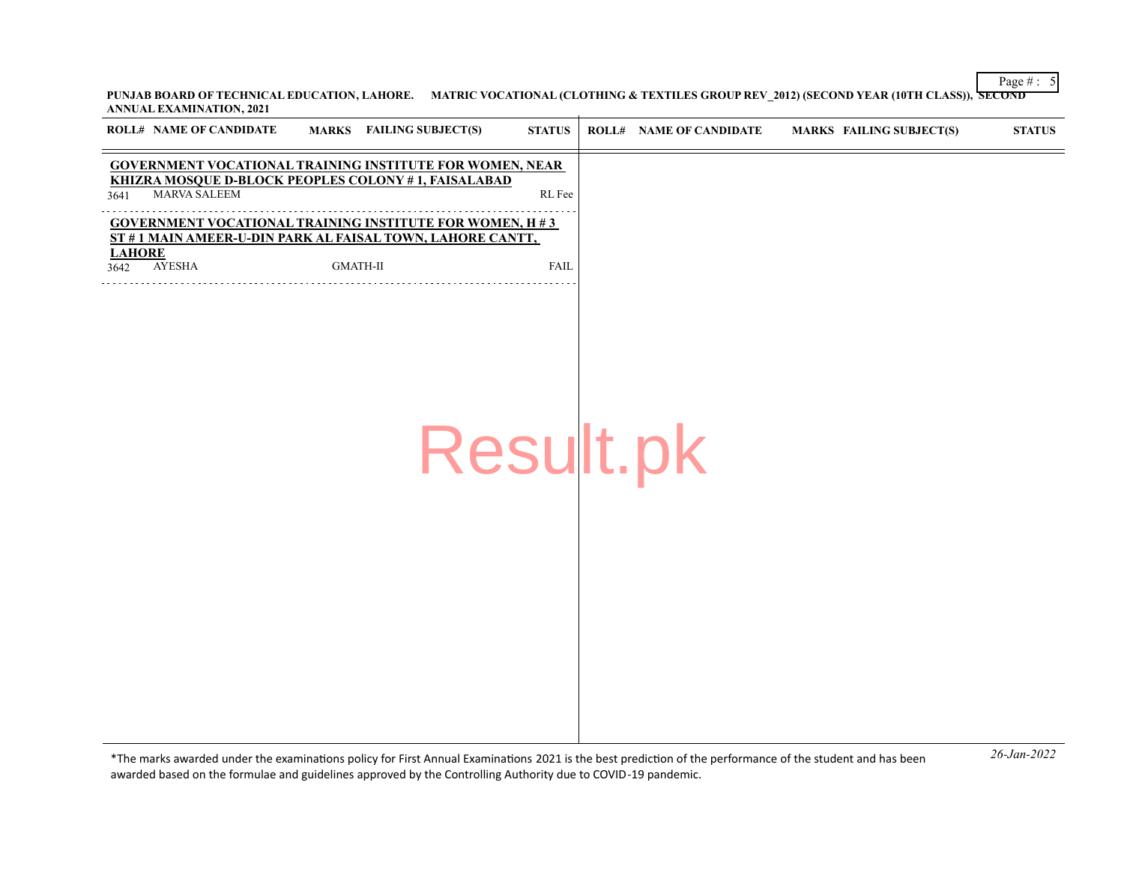Page  $\# : 5$ **PUNJAB BOARD OF TECHNICAL EDUCATION, LAHORE. MATRIC VOCATIONAL (CLOTHING & TEXTILES GROUP REV\_2012) (SECOND YEAR (10TH CLASS)), SECOND ANNUAL EXAMINATION, 2021**

| <b>ROLL# NAME OF CANDIDATE</b> | MARKS FAILING SUBJECT(S)                                                                                                     | <b>STATUS</b> | <b>ROLL# NAME OF CANDIDATE</b> | <b>MARKS FAILING SUBJECT(S)</b>                                                                                                             | <b>STATUS</b>       |
|--------------------------------|------------------------------------------------------------------------------------------------------------------------------|---------------|--------------------------------|---------------------------------------------------------------------------------------------------------------------------------------------|---------------------|
| MARVA SALEEM<br>3641           | <b>GOVERNMENT VOCATIONAL TRAINING INSTITUTE FOR WOMEN, NEAR</b><br>KHIZRA MOSQUE D-BLOCK PEOPLES COLONY #1, FAISALABAD       | RL Fee        |                                |                                                                                                                                             |                     |
| <b>LAHORE</b>                  | <b>GOVERNMENT VOCATIONAL TRAINING INSTITUTE FOR WOMEN, H #3</b><br>ST #1 MAIN AMEER-U-DIN PARK AL FAISAL TOWN, LAHORE CANTT, |               |                                |                                                                                                                                             |                     |
| <b>AYESHA</b><br>3642          | $\mbox{GMATH-II}$                                                                                                            | <b>FAIL</b>   |                                |                                                                                                                                             |                     |
|                                |                                                                                                                              |               |                                |                                                                                                                                             |                     |
|                                |                                                                                                                              |               |                                |                                                                                                                                             |                     |
|                                |                                                                                                                              |               |                                |                                                                                                                                             |                     |
|                                | Result.pk                                                                                                                    |               |                                |                                                                                                                                             |                     |
|                                |                                                                                                                              |               |                                |                                                                                                                                             |                     |
|                                |                                                                                                                              |               |                                |                                                                                                                                             |                     |
|                                |                                                                                                                              |               |                                |                                                                                                                                             |                     |
|                                |                                                                                                                              |               |                                |                                                                                                                                             |                     |
|                                |                                                                                                                              |               |                                |                                                                                                                                             |                     |
|                                |                                                                                                                              |               |                                |                                                                                                                                             |                     |
|                                |                                                                                                                              |               |                                | $\mathcal{L}$ and $\mathcal{L}$ and $\mathcal{L}$ and $\mathcal{L}$ and $\mathcal{L}$ and $\mathcal{L}$ and $\mathcal{L}$ and $\mathcal{L}$ | $26 - \frac{1}{20}$ |